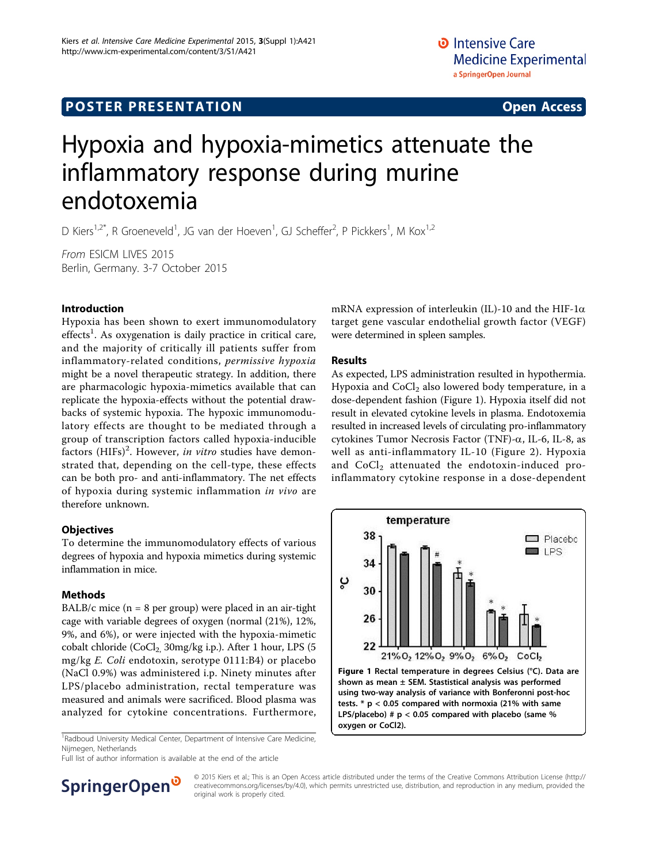# **POSTER PRESENTATION CONSUMING THE SERVICE SERVICE SERVICES**

# Hypoxia and hypoxia-mimetics attenuate the inflammatory response during murine endotoxemia

D Kiers<sup>1,2\*</sup>, R Groeneveld<sup>1</sup>, JG van der Hoeven<sup>1</sup>, GJ Scheffer<sup>2</sup>, P Pickkers<sup>1</sup>, M Kox<sup>1,2</sup>

From ESICM LIVES 2015 Berlin, Germany. 3-7 October 2015

## Introduction

Hypoxia has been shown to exert immunomodulatory effects<sup>1</sup>. As oxygenation is daily practice in critical care, and the majority of critically ill patients suffer from inflammatory-related conditions, permissive hypoxia might be a novel therapeutic strategy. In addition, there are pharmacologic hypoxia-mimetics available that can replicate the hypoxia-effects without the potential drawbacks of systemic hypoxia. The hypoxic immunomodulatory effects are thought to be mediated through a group of transcription factors called hypoxia-inducible factors (HIFs)<sup>2</sup>. However, in vitro studies have demonstrated that, depending on the cell-type, these effects can be both pro- and anti-inflammatory. The net effects of hypoxia during systemic inflammation in vivo are therefore unknown.

## **Objectives**

To determine the immunomodulatory effects of various degrees of hypoxia and hypoxia mimetics during systemic inflammation in mice.

#### Methods

BALB/c mice  $(n = 8$  per group) were placed in an air-tight cage with variable degrees of oxygen (normal (21%), 12%, 9%, and 6%), or were injected with the hypoxia-mimetic cobalt chloride (CoCl<sub>2,</sub> 30mg/kg i.p.). After 1 hour, LPS (5 mg/kg E. Coli endotoxin, serotype 0111:B4) or placebo (NaCl 0.9%) was administered i.p. Ninety minutes after LPS/placebo administration, rectal temperature was measured and animals were sacrificed. Blood plasma was analyzed for cytokine concentrations. Furthermore,

<sup>1</sup> Radboud University Medical Center, Department of Intensive Care Medicine, Nijmegen, Netherlands

Full list of author information is available at the end of the article

mRNA expression of interleukin (IL)-10 and the HIF-1 $\alpha$ target gene vascular endothelial growth factor (VEGF) were determined in spleen samples.

#### Results

As expected, LPS administration resulted in hypothermia. Hypoxia and  $CoCl<sub>2</sub>$  also lowered body temperature, in a dose-dependent fashion (Figure 1). Hypoxia itself did not result in elevated cytokine levels in plasma. Endotoxemia resulted in increased levels of circulating pro-inflammatory cytokines Tumor Necrosis Factor (TNF)- $\alpha$ , IL-6, IL-8, as well as anti-inflammatory IL-10 (Figure [2](#page-1-0)). Hypoxia and CoCl<sub>2</sub> attenuated the endotoxin-induced proinflammatory cytokine response in a dose-dependent





© 2015 Kiers et al.; This is an Open Access article distributed under the terms of the Creative Commons Attribution License [\(http://](http://creativecommons.org/licenses/by/4.0) [creativecommons.org/licenses/by/4.0](http://creativecommons.org/licenses/by/4.0)), which permits unrestricted use, distribution, and reproduction in any medium, provided the original work is properly cited.